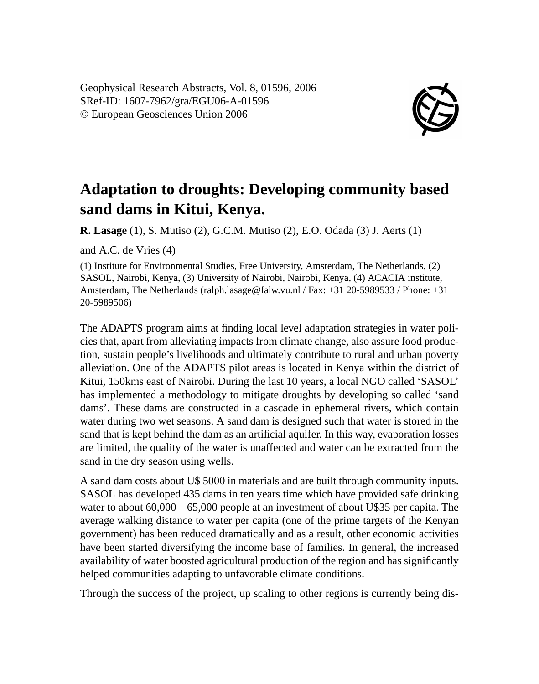Geophysical Research Abstracts, Vol. 8, 01596, 2006 SRef-ID: 1607-7962/gra/EGU06-A-01596 © European Geosciences Union 2006



## **Adaptation to droughts: Developing community based sand dams in Kitui, Kenya.**

**R. Lasage** (1), S. Mutiso (2), G.C.M. Mutiso (2), E.O. Odada (3) J. Aerts (1)

and A.C. de Vries (4)

(1) Institute for Environmental Studies, Free University, Amsterdam, The Netherlands, (2) SASOL, Nairobi, Kenya, (3) University of Nairobi, Nairobi, Kenya, (4) ACACIA institute, Amsterdam, The Netherlands (ralph.lasage@falw.vu.nl / Fax: +31 20-5989533 / Phone: +31 20-5989506)

The ADAPTS program aims at finding local level adaptation strategies in water policies that, apart from alleviating impacts from climate change, also assure food production, sustain people's livelihoods and ultimately contribute to rural and urban poverty alleviation. One of the ADAPTS pilot areas is located in Kenya within the district of Kitui, 150kms east of Nairobi. During the last 10 years, a local NGO called 'SASOL' has implemented a methodology to mitigate droughts by developing so called 'sand dams'. These dams are constructed in a cascade in ephemeral rivers, which contain water during two wet seasons. A sand dam is designed such that water is stored in the sand that is kept behind the dam as an artificial aquifer. In this way, evaporation losses are limited, the quality of the water is unaffected and water can be extracted from the sand in the dry season using wells.

A sand dam costs about U\$ 5000 in materials and are built through community inputs. SASOL has developed 435 dams in ten years time which have provided safe drinking water to about  $60,000 - 65,000$  people at an investment of about U\$35 per capita. The average walking distance to water per capita (one of the prime targets of the Kenyan government) has been reduced dramatically and as a result, other economic activities have been started diversifying the income base of families. In general, the increased availability of water boosted agricultural production of the region and has significantly helped communities adapting to unfavorable climate conditions.

Through the success of the project, up scaling to other regions is currently being dis-